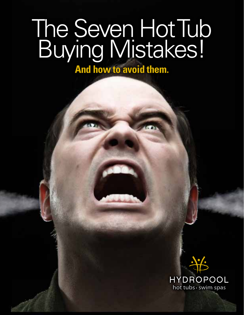# The Seven Hot Tub Buying Mistakes!

**And how to avoid them.**

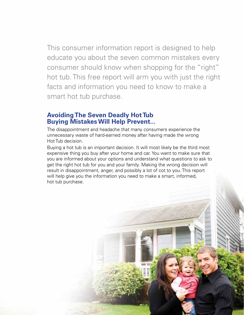This consumer information report is designed to help educate you about the seven common mistakes every consumer should know when shopping for the "right" hot tub. This free report will arm you with just the right facts and information you need to know to make a smart hot tub purchase.

### **Avoiding The Seven Deadly Hot Tub Buying Mistakes Will Help Prevent...**

The disappointment and headache that many consumers experience the unnecessary waste of hard-earned money after having made the wrong Hot Tub decision.

Buying a hot tub is an important decision. It will most likely be the third most expensive thing you buy after your home and car. You want to make sure that you are informed about your options and understand what questions to ask to get the right hot tub for you and your family. Making the wrong decision will result in disappointment, anger, and possibly a lot of cot to you. This report will help give you the information you need to make a smart, informed, hot tub purchase.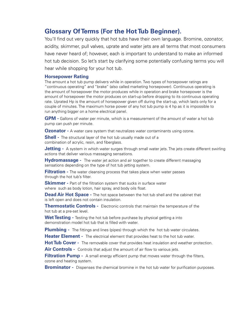### **Glossary Of Terms (For the Hot Tub Beginner).**

You'll find out very quickly that hot tubs have their own language. Bromine, ozonator, acidity, skimmer, pull valves, uprate and water jets are all terms that most consumers have never heard of; however, each is important to understand to make an informed hot tub decision. So let's start by clarifying some potentially confusing terms you will hear while shopping for your hot tub.

#### **Horsepower Rating**

The amount a hot tub pump delivers while in operation. Two types of horsepower ratings are "continuous operating" and "brake" (also called marketing horsepower). Continuous operating is the amount of horsepower the motor produces while in operation and brake horsepower is the amount of horsepower the motor produces on start-up before dropping to its continuous operating rate. Uprated Hp is the amount of horsepower given off during the start-up, which lasts only for a couple of minutes. The maximum horse power of any hot tub pump is 4 hp as it is impossible to run anything bigger on a home electrical panel.

**GPM -** Gallons of water per minute, which is a measurement of the amount of water a hot tub pump can push per minute.

**Ozonator** - A water care system that neutralizes water contaminants using ozone.

**Shell** - The structural layer of the hot tub usually made out of a combination of acrylic, resin, and fiberglass.

**Jetting** - A system in which water surges through small water jets. The jets create different swirling actions that deliver various massaging sensations.

**Hydromassage -** The water jet action and air together to create different massaging sensations depending on the type of hot tub jetting system.

**Filtration -** The water cleansing process that takes place when water passes through the hot tub's filter.

**Skimmer -** Part of the filtration system that sucks in surface water where such as body lotion, hair spray, and body oils float.

**Dead Air Hot Space -** The hot space between the hot tub shell and the cabinet that is left open and does not contain insulation.

**Thermostatic Controls -** Electronic controls that maintain the temperature of the hot tub at a pre-set level.

**Wet Testing -** Testing the hot tub before purchase by physical getting a into demonstration model hot tub that is filled with water.

**Plumbing -** The fittings and lines (pipes) through which the hot tub water circulates.

**Heater Element -** The electrical element that provides heat to the hot tub water.

Hot Tub Cover - The removable cover that provides heat insulation and weather protection.

Air Controls - Controls that adjust the amount of air flow to various jets.

**Filtration Pump -** A small energy efficient pump that moves water through the filters, ozone and heating system.

**Brominator -** Dispenses the chemical bromine in the hot tub water for purification purposes.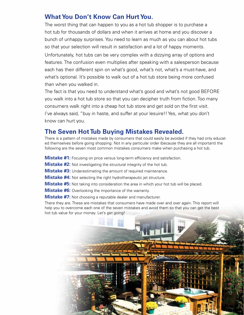### **What You Don't Know Can Hurt You.**

The worst thing that can happen to you as a hot tub shopper is to purchase a hot tub for thousands of dollars and when it arrives at home and you discover a bunch of unhappy surprises. You need to learn as much as you can about hot tubs so that your selection will result in satisfaction and a lot of happy moments.

Unfortunately, hot tubs can be very complex with a dizzying array of options and features. The confusion even multiplies after speaking with a salesperson because each has their different spin on what's good, what's not, what's a must-have, and what's optional. It's possible to walk out of a hot tub store being more confused than when you walked in.

The fact is that you need to understand what's good and what's not good BEFORE you walk into a hot tub store so that you can decipher truth from fiction. Too many consumers walk right into a cheap hot tub store and get sold on the first visit. I've always said, "buy in haste, and suffer at your lesuire!! Yes, what you don't know can hurt you.

#### **The Seven Hot Tub Buying Mistakes Revealed.**

There is a pattern of mistakes made by consumers that could easily be avoided if they had only educated themselves before going shopping. Not in any particular order (because they are all important) the following are the seven most common mistakes consumers make when purchasing a hot tub.

**Mistake #1:** Focusing on price versus long-term efficiency and satisfaction.

**Mistake #2:** Not investigating the structural integrity of the hot tub.

**Mistake #3:** Underestimating the amount of required maintenance.

**Mistake #4:** Not selecting the right hydrotherapeutic jet structure.

**Mistake #5:** Not taking into consideration the area in which your hot tub will be placed.

**Mistake #6:** Overlooking the importance of the warranty.

**Mistake #7:** Not choosing a reputable dealer and manufacturer.

There they are. These are mistakes that consumers have made over and over again. This report will help you to overcome each one of the seven mistakes and avoid them so that you can get the best hot tub value for your money. Let's get going!

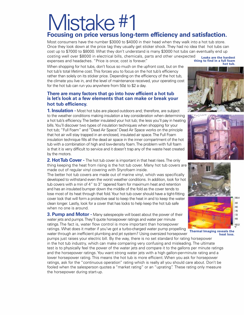### Mistake #1 **Focusing on price versus long-term efficiency and satisfaction.**

Most consumers have the number \$3000 to \$4000 in their head when they walk into a hot tub store. Once they look down at the price tag they usually get sticker shock. They had no idea that hot tubs can cost up to \$7000 to \$8000. What they don't understand is many \$3000 hot tubs can eventually end up costing well over \$8000 in electrical bills, chemicals, parts and other unexpected expenses and headaches. "Price is once; cost is forever." **Leaks are the hardest** 

When shopping for hot tubs, don't focus so much on the upfront cost, but on the hot tub's total lifetime cost. This forces you to focus on the hot tub's efficiency rather than solely on its sticker price. Depending on the efficiency of the hot tub, the climate you live in, and the level of maintenance received, your operating cost for the hot tub can run you anywhere from  $50¢$  to \$2 a day.

#### **There are many factors that go into how efficient a hot tub is let's look at a few elements that can make or break your hot tub efficiency.**

**1. Insulation -** Most hot tubs are placed outdoors and; therefore, are subject to the weather conditions making insulation a key consideration when determining a hot tub's efficiency. The better insulated your hot tub; the less you'll pay in heating bills. You'll discover two types of insulation techniques when shopping for your hot tub; "Full Foam" and "Dead Air Space". Dead Air Space works on the principle that hot air will stay trapped in an enclosed, insulated air space. The Full Foam insulation technique fills all the dead air space in the inner compartment of the hot tub with a combination of high and low-density foam. The problem with full foam is that it is very difficult to service and it doesn't trap any of the waste heat created by the motors.

**2. Hot Tub Cover -** The hot tub cover is important in that heat rises. The only thing keeping the heat from rising is the hot tub cover. Many hot tub covers are made out of regular vinyl covering with Styrofoam inside.

The better hot tub covers are made out of marine vinyl, which was specifically developed to withstand even the worst weather conditions. In addition, look for hot tub covers with a min of 4" to 3" tapered foam for maximum heat and retention and has an insulated bumper down the middle of the fold as the cover tends to lose most of its heat through that fold. Your hot tub cover should have a tight-fitting cover lock that will form a protective seal to keep the heat in and to keep the water clean longer. Lastly, look for a cover that has locks to help keep the hot tub safe when no one is around.

**3. Pump and Motor -** Many salespeople will boast about the power of their water jets and pumps. They'll quote horsepower ratings and water per minute ratings. The fact is, water flow control is more important than horsepower ratings. What does it matter if you've got a turbo-charged water pump propelling

water through an inefficient plumbing and jet system? Using oversized horsepower pumps just raises your electric bill. By the way, there is no set standard for rating horsepower in the hot tub industry, which can make comparing very confusing and misleading. The ultimate test is to physically feel the power of the water jets and compare it to the gallons per minute ratings and the horsepower ratings. You want strong water jets with a high gallon-per-minute rating and a lower horsepower rating. This means the hot tub is more efficient. When you ask for horsepower ratings, ask for the "continuous operation" rating which is really all you should care about. Don't be fooled when the salesperson quotes a "market rating" or an "uprating". These rating only measure the horsepower during start-up.

**thing to find in a full foam hot tub.**







**Thermal Imaging reveals the heat loss.**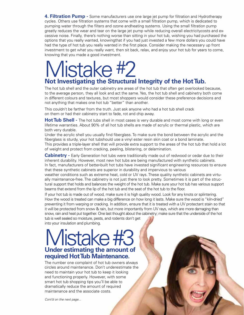**4. Filtration Pump -** Some manufacturers use one large jet pump for filtration and Hydrotherapy cycles. Others use filtration systems that come with a small filtration pump, which is dedicated to pumping water through the filters and ozone andheating systems. Using the small filtration pump greatly reduces the wear and tear on the large jet pump while reducing overall electricitycosts and excessive noise. Finally, there's nothing worse than sitting in your hot tub, wishing you had purchased the options that you really wanted, knowingthat if you had just invested a few more dollars you could have had the type of hot tub you really wanted in the first place. Consider making the necessary up front investment to get what you really want, then sit back, relax, and enjoy your hot tub for years to come, knowing that you made a good investment.

# Mistake #2 **Not Investigating the Structural Integrity of the Hot Tub.**

The hot tub shell and the outer cabinetry are areas of the hot tub that often get overlooked because, to the average person, they all look and act the same. Yes, the hot tub shell and cabinetry both come in different colours and textures, but most shoppers would consider these preference decisions and not anything that makes one hot tub "better" than another.

This couldn't be farther from the truth. Just ask anyone who had a hot tub shell crack on them or had their cabinetry start to fade, rot and chip away.

**Hot Tub Shell -** The hot tubs shell in most cases is very durable and most come with long or even lifetime warranties. About 90% of all hot tub shells are made of acrylic or thermal plastic, which are both very durable.

Under the acrylic shell you usually find fiberglass. To make sure the bond between the acrylic and the fiberglass is sturdy, your hot tubshould use a vinyl ester resin skin coat or a bond laminate. This provides a triple-layer shell that will provide extra support to the areas of the hot tub that hold a lot of weight and protect from cracking, peeling, blistering, or delamination.

**Cabinetry -** Early Generation hot tubs were traditionally made out of redwood or cedar due to their inherent durability. However, most new hot tubs are being manufactured with synthetic cabinets. In fact, manufacturers of better-built hot tubs have invested significant engineering resources to ensure that these synthetic cabinets are superior in durability and impervious to various

weather conditions such as extreme heat, cold or UV rays. These quality synthetic cabinets are virtually maintenance-free. The cabinetry is not just there to look pretty. Sometimes it is part of the structural support that holds and balances the weight of the hot tub. Make sure your hot tub has various support beams that extend from the lip of the hot tub and the seat of the hot tub to the floor.

If your hot tub is made out of wood, make sure it is high quality wood. Look for any knots or splintering. How the wood is treated can make a big difference on how long it lasts. Make sure the wood is "kiln-dried" preventing it from warping or cracking. In addition, ensure that it is treated with a UV protectant stain so that it will be protected from snow & rain, but more importantly from UV rays, which are more damaging than snow, rain and heat put together. One last thought about the cabinetry; make sure that the underside of the hot tub is well sealed so moisture, pests, and rodents don't get

into your insulation and plumbing.

### Vlistake #3 **Under estimating the amount of required Hot Tub Maintenance.**

The number one complaint of hot tub owners always circles around maintenance. Don't underestimate the need to maintain your hot tub to keep it looking and functioning properly. However, with some smart hot tub shopping tips you'll be able to dramatically reduce the amount of required maintenance and the associate costs.

*Cont'd on the next page...*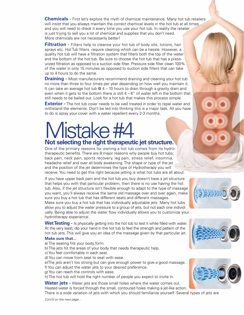**Chemicals -** First let's explore the myth of chemical maintenance. Many hot tub retailers will insist that you always maintain the correct chemical levels in the hot tub at all times and you will need to check it every time you use your hot tub. In reality the retailer is just trying to sell you a lot of chemical and supplies that you don't need. More chemicals are not necessarily better!

**Filtration -** Filters help to cleanse your hot tub of body oils, lotions, hair sprays etc. Hot Tub filters require cleaning which can be a hassle. However, a quality hot tub will have a filtration system that filters both the top of the water and the bottom of the hot tub. Be sure to choose the hot tub that has a pressurized filtration as opposed to a suction side filter. Pressure side filter clean 100% of the water in only 15 minutes as opposed to suction side filters that can take up to 4 hours to do the same.

**Draining -** Most manufacturers recommend draining and cleaning your hot tub no more than three to four times per year depending on how well you maintain it. It can take an average hot tub  $@$  4 – 10 hours to drain through a gravity drain and even when it gets to the bottom there is still  $4 - 6$ " of water left in the bottom that still needs to be bailed out. Look for a hot tub that makes this process simple

**Exterior** - The hot tub cover needs to be well treated in order to repel water and withstand the elements. Don't be led into thinking this is a major task. All you have to do is spray your cover with a water repellent every 2-3 months.

## Mistake #4 **Not selecting the right therapeutic jet structure.**

One of the primary reasons for owning a hot tub comes from its hydrotherapeutic benefits. There are 8 major reasons why people buy hot tubs; back pain, neck pain, sports recovery, leg pain, stress relief, insomnia, headache relief and over all body awakening. The shape or type of the jet and the position of the jet determines the type of Hydrotherapy you will receive. You need to get this right because jetting is what hot tubs are all about.

If you have upper back pain and the hot tub you buy doesn't have a jet structure that helps you with that particular problem, then there is no use having the hot tub. Also, if the jet structure isn't flexible enough to adapt to the type of massage you want, you'll always receive the same old massage over and over again, make sure you buy a hot tub that has different seats and different massages.

Make sure you buy a hot tub that has individually adjustable jets. Many hot tubs allow you to adjust the water pressure to a group of jets, but not each one individually. Being able to adjust the water flow individually allows you to customize your hydrotherapy experience.

Wet Testing - Is physically getting into the hot tub to test it while filled with water. At the very least, dip your hand in the hot tub to feel the strength and pattern of the hot tub jets. This will give you an idea of the massage given by that particular jet.

#### **Make sure that...**

a) The seating fits your body form.

- b) The jets hit the areas of your body that needs therapeutic help.
- c) You feel comfortable in each seat.
- d) You can move from seat to seat with ease.
- e)The jets aren't too strong but can give enough power to give a good massage.
- f) You can adjust the water jets to your desired preference.
- g) You can reach the controls with ease.

h) The hot tub will hold the right number of people you expect to invite in.

Water jets - Water jets are those small holes where the water comes out. Heated water is forced through the small, contoured holes making a jet-like action.

There is a wide variation of jets with which you should familiarize yourself. Several types of jets are





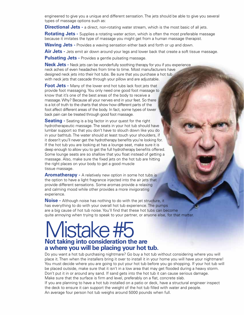engineered to give you a unique and different sensation. The jets should be able to give you several types of massage options such as:

**Directional Jets -** a direct, non-rotating water stream, which is the most basic of all jets.

**Rotating Jets -** Supplies a rotating water action, which is often the most preferable massage because it imitates the type of massage you might get from a human massage therapist.

**Waving Jets -** Provides a waving sensation either back and forth or up and down.

**Air Jets -** Jets emit air down around your legs and lower back that create a soft tissue massage.

**Pulsating Jets -** Provides a gentle pulsating massage.

**Neck Jets -** Neck jets can be wonderfully soothing therapy for you if you experience neck aches of even headaches from time to time. Most manufacturers have designed neck jets into their hot tubs. Be sure that you purchase a hot tub with neck jets that cascade through your pillow and are adjustable.

**Foot Jets -** Many of the lower end hot tubs lack foot jets that provide foot massaging. You only need one good foot massage to know that it's one of the best areas of the body to receive a massage. Why? Because all your nerves end in your feet. So there is a lot of truth to the charts that show how different parts of the foot affect different areas of the body. In fact, some types of lower back pain can be treated through good foot massage.

**Seating -** Seating is a big factor in your quest for the right hydrotherapeutic massage. The seats in your hot tub should have lumbar support so that you don't have to slouch down like you do in your bathtub. The water should at least touch your shoulders, if it doesn't you'll never get the hydrotherapy benefits you're looking for. If the hot tub you are looking at has a lounge seat, make sure it is deep enough to allow you to get the full hydrotherapy benefits offered. Some lounge seats are so shallow that you float instead of getting a massage. Also, make sure the fixed jets on the hot tub are hitting the right places on your body to get a good muscle tissue massage.

**Aromatherapy -** A relatively new option in some hot tubs is the option to have a light fragrance injected into the air jets that provide different sensations. Some aromas provide a relaxing and calming mood while other provides a more invigorating experience.

**Noise -** Although noise has nothing to do with the jet structure, it has everything to do with your overall hot tub experience. The pumps are a big cause of hot tub noise. You'll find that these hot tubs can become quite annoying when trying to speak to your partner, or anyone else, for that matter.

### Mistake #5 **Not taking into consideration the are a where you will be placing your hot tub.**

Do you want a hot tub purchasing nightmare? Go buy a hot tub without considering where you will place it. Then when the installers bring it over to install it in your home you will have your nightmare! You must decide where you are going to put your hot tub before you go shopping. If your hot tub will be placed outside, make sure that it isn't in a low area that may get flooded during a heavy storm. Don't put it in or around any sand. If sand gets into the hot tub it can cause serious damage. Make sure that the surface is firm and level, preferably on a flat, concrete slab. If you are planning to have a hot tub installed on a patio or deck, have a structural engineer inspect the deck to ensure it can support the weight of the hot tub filled with water and people. An average four person hot tub weighs around 5000 pounds when full.